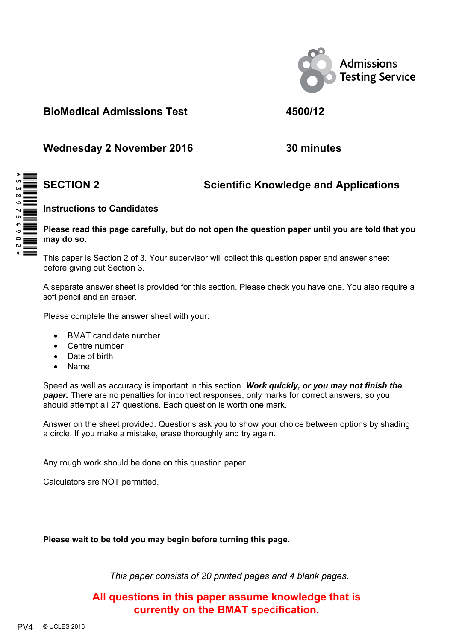

**BioMedical Admissions Test 4500/12** 

**Wednesday 2 November 2016 30 minutes** 

# **SECTION 2 Scientific Knowledge and Applications**

#### **Instructions to Candidates**

#### **Please read this page carefully, but do not open the question paper until you are told that you may do so.**

This paper is Section 2 of 3. Your supervisor will collect this question paper and answer sheet before giving out Section 3.

A separate answer sheet is provided for this section. Please check you have one. You also require a soft pencil and an eraser.

Please complete the answer sheet with your:

- BMAT candidate number
- Centre number
- Date of birth
- Name

Speed as well as accuracy is important in this section. *Work quickly, or you may not finish the paper.* There are no penalties for incorrect responses, only marks for correct answers, so you should attempt all 27 questions. Each question is worth one mark.

Answer on the sheet provided. Questions ask you to show your choice between options by shading a circle. If you make a mistake, erase thoroughly and try again.

Any rough work should be done on this question paper.

Calculators are NOT permitted.

**Please wait to be told you may begin before turning this page.** 

*This paper consists of 20 printed pages and 4 blank pages.* 

**All questions in this paper assume knowledge that is currently on the BMAT specification.**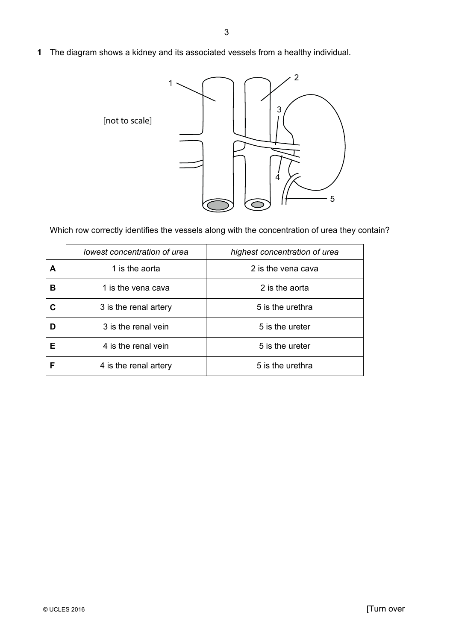**1** The diagram shows a kidney and its associated vessels from a healthy individual.



Which row correctly identifies the vessels along with the concentration of urea they contain?

|   | lowest concentration of urea | highest concentration of urea |
|---|------------------------------|-------------------------------|
| A | 1 is the aorta               | 2 is the vena cava            |
| в | 1 is the vena cava           | 2 is the aorta                |
| C | 3 is the renal artery        | 5 is the urethra              |
| D | 3 is the renal vein          | 5 is the ureter               |
| Е | 4 is the renal vein          | 5 is the ureter               |
|   | 4 is the renal artery        | 5 is the urethra              |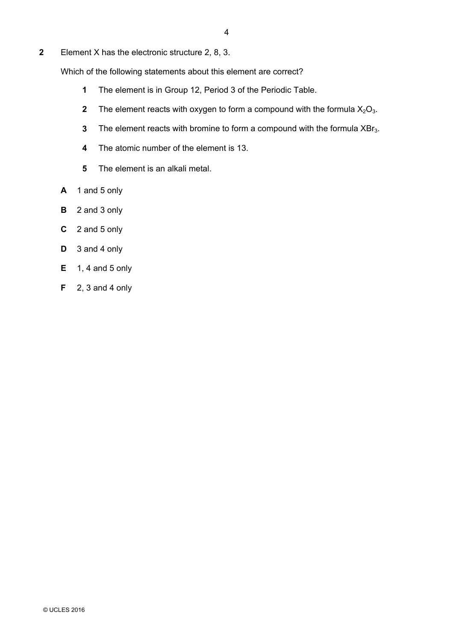**2** Element X has the electronic structure 2, 8, 3.

Which of the following statements about this element are correct?

- **1** The element is in Group 12, Period 3 of the Periodic Table.
- **2** The element reacts with oxygen to form a compound with the formula  $X_2O_3$ .
- **3** The element reacts with bromine to form a compound with the formula XBr<sub>3</sub>.
- **4** The atomic number of the element is 13.
- **5** The element is an alkali metal.
- **A** 1 and 5 only
- **B** 2 and 3 only
- **C** 2 and 5 only
- **D** 3 and 4 only
- **E** 1, 4 and 5 only
- **F** 2, 3 and 4 only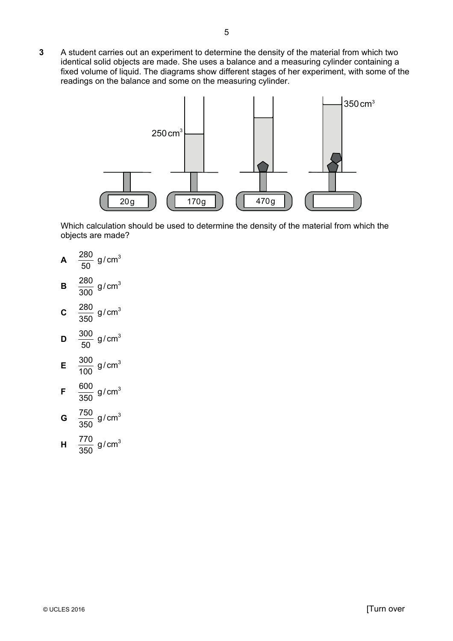**3** A student carries out an experiment to determine the density of the material from which two identical solid objects are made. She uses a balance and a measuring cylinder containing a fixed volume of liquid. The diagrams show different stages of her experiment, with some of the readings on the balance and some on the measuring cylinder.

5



Which calculation should be used to determine the density of the material from which the objects are made?

**A**  50  $\frac{280}{25}$  g/cm<sup>3</sup> **B**  300  $\frac{280}{222}$  g/cm<sup>3</sup> **C**  350  $\frac{280}{272}$  g/cm<sup>3</sup> **D**  50  $\frac{300}{20}$  g/cm<sup>3</sup> **E**  100  $\frac{300}{120}$  g/cm<sup>3</sup> **F**  350  $\frac{600}{270}$  g/cm<sup>3</sup> **G**  350  $\frac{750}{250}$  g/cm<sup>3</sup> **H**   $\frac{770}{272}$  g/cm<sup>3</sup>

350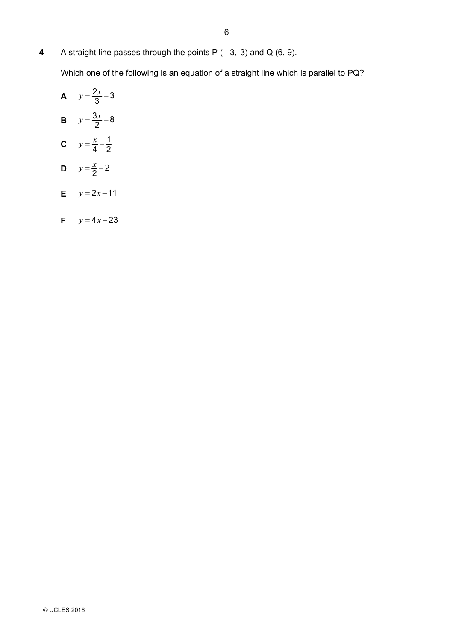**4** A straight line passes through the points P ( − 3, 3) and Q (6, 9).

Which one of the following is an equation of a straight line which is parallel to PQ?

**A** 
$$
y = \frac{2x}{3} - 3
$$
  
\n**B**  $y = \frac{3x}{2} - 8$   
\n**C**  $y = \frac{x}{4} - \frac{1}{2}$   
\n**D**  $y = \frac{x}{2} - 2$ 

**E**  $y = 2x - 11$ 

$$
F \qquad y = 4x - 23
$$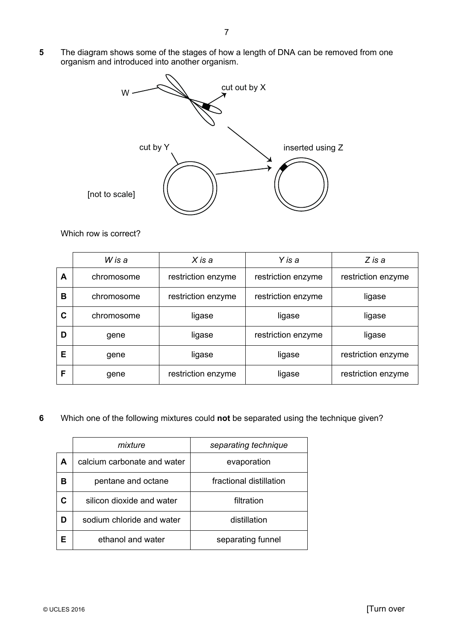**5** The diagram shows some of the stages of how a length of DNA can be removed from one organism and introduced into another organism.



Which row is correct?

|   | W is a     | $X$ is a           | Y is a             | Z is a             |
|---|------------|--------------------|--------------------|--------------------|
| Α | chromosome | restriction enzyme | restriction enzyme | restriction enzyme |
| в | chromosome | restriction enzyme | restriction enzyme | ligase             |
| C | chromosome | ligase             | ligase             | ligase             |
| D | gene       | ligase             | restriction enzyme | ligase             |
| Е | gene       | ligase             | ligase             | restriction enzyme |
| F | gene       | restriction enzyme | ligase             | restriction enzyme |

#### **6** Which one of the following mixtures could **not** be separated using the technique given?

| mixture                                        |                           | separating technique    |
|------------------------------------------------|---------------------------|-------------------------|
| calcium carbonate and water<br>A               |                           | evaporation             |
| в                                              | pentane and octane        | fractional distillation |
| С                                              | silicon dioxide and water | filtration              |
| sodium chloride and water<br>distillation<br>D |                           |                         |
| Е                                              | ethanol and water         | separating funnel       |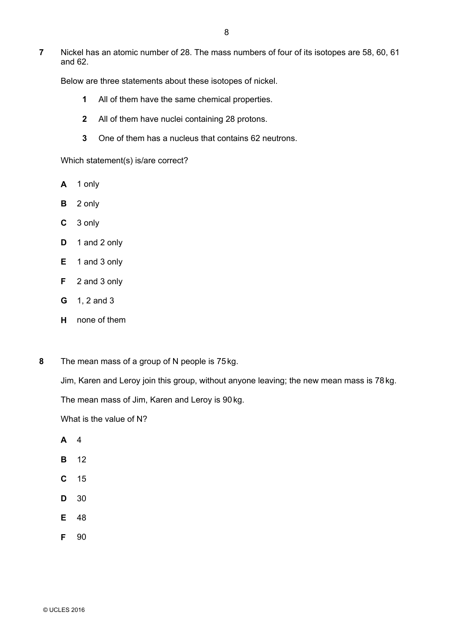**7** Nickel has an atomic number of 28. The mass numbers of four of its isotopes are 58, 60, 61 and 62.

Below are three statements about these isotopes of nickel.

- **1** All of them have the same chemical properties.
- **2** All of them have nuclei containing 28 protons.
- **3** One of them has a nucleus that contains 62 neutrons.

Which statement(s) is/are correct?

- **A** 1 only
- **B** 2 only
- **C** 3 only
- **D** 1 and 2 only
- **E** 1 and 3 only
- **F** 2 and 3 only
- **G** 1, 2 and 3
- **H** none of them
- **8** The mean mass of a group of N people is 75kg.

Jim, Karen and Leroy join this group, without anyone leaving; the new mean mass is 78kg.

The mean mass of Jim, Karen and Leroy is 90 kg.

What is the value of N?

- **A** 4
- **B** 12
- **C** 15
- **D** 30
- **E** 48
- **F** 90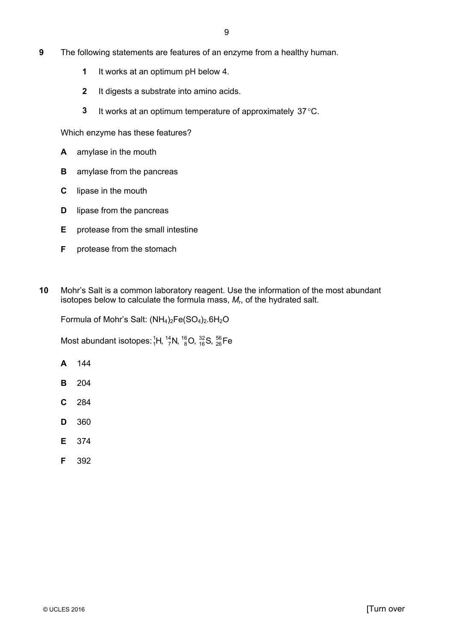- **9** The following statements are features of an enzyme from a healthy human.
	- **1** It works at an optimum pH below 4.
	- **2** It digests a substrate into amino acids.
	- **3** It works at an optimum temperature of approximately 37°C.

Which enzyme has these features?

- **A** amylase in the mouth
- **B** amylase from the pancreas
- **C** lipase in the mouth
- **D** lipase from the pancreas
- **E** protease from the small intestine
- **F** protease from the stomach
- **10** Mohr's Salt is a common laboratory reagent. Use the information of the most abundant isotopes below to calculate the formula mass, *M*r, of the hydrated salt.

Formula of Mohr's Salt:  $(NH_4)_2Fe(SO_4)_2.6H_2O$ 

Most abundant isotopes:  ${}^{1}_{1}$ H,  ${}^{14}_{7}$ N,  ${}^{16}_{8}$ O,  ${}^{32}_{16}$ S,  ${}^{56}_{26}$ Fe

- **A** 144
- **B** 204
- **C** 284
- **D** 360
- **E** 374
- **F** 392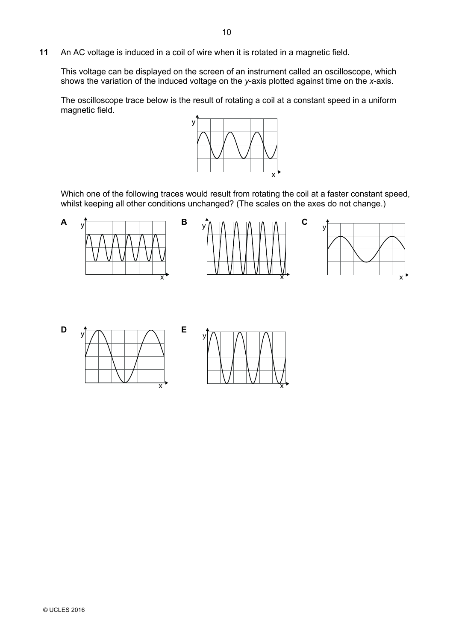**11** An AC voltage is induced in a coil of wire when it is rotated in a magnetic field.

This voltage can be displayed on the screen of an instrument called an oscilloscope, which shows the variation of the induced voltage on the *y*-axis plotted against time on the *x*-axis.

The oscilloscope trace below is the result of rotating a coil at a constant speed in a uniform magnetic field.



Which one of the following traces would result from rotating the coil at a faster constant speed, whilst keeping all other conditions unchanged? (The scales on the axes do not change.)

 $\overline{\mathsf{x}}$ 



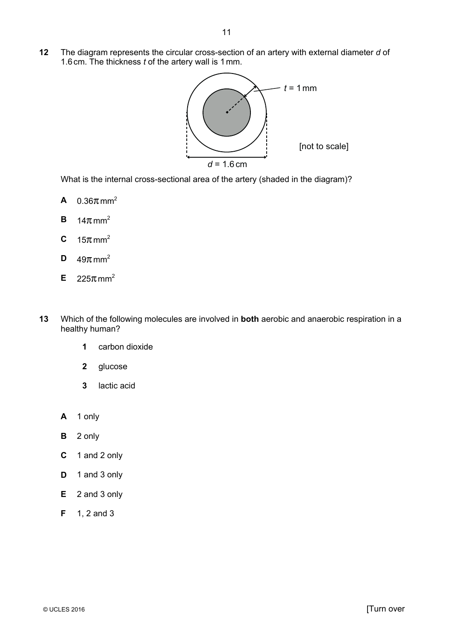**12** The diagram represents the circular cross-section of an artery with external diameter *d* of 1.6 cm. The thickness *t* of the artery wall is 1mm.



What is the internal cross-sectional area of the artery (shaded in the diagram)?

- **A**  $0.36πmm^2$
- **B**  $14\pi$  mm<sup>2</sup>
- **C**  $15\pi$  mm<sup>2</sup>
- **D**  $49\pi$  mm<sup>2</sup>
- **E**  $225\pi$  mm<sup>2</sup>
- **13** Which of the following molecules are involved in **both** aerobic and anaerobic respiration in a healthy human?
	- **1** carbon dioxide
	- **2** glucose
	- **3** lactic acid
	- **A** 1 only
	- **B** 2 only
	- **C** 1 and 2 only
	- **D** 1 and 3 only
	- **E** 2 and 3 only
	- **F** 1, 2 and 3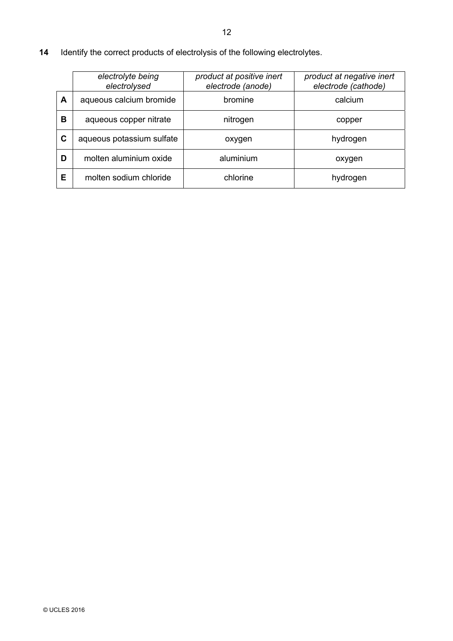**14** Identify the correct products of electrolysis of the following electrolytes.

|   | electrolyte being<br>electrolysed | product at positive inert<br>electrode (anode) | product at negative inert<br>electrode (cathode) |
|---|-----------------------------------|------------------------------------------------|--------------------------------------------------|
| A | aqueous calcium bromide           | bromine                                        | calcium                                          |
| в | aqueous copper nitrate            | nitrogen                                       | copper                                           |
| C | aqueous potassium sulfate         | oxygen                                         | hydrogen                                         |
| D | molten aluminium oxide            | aluminium                                      | oxygen                                           |
| Е | molten sodium chloride            | chlorine                                       | hydrogen                                         |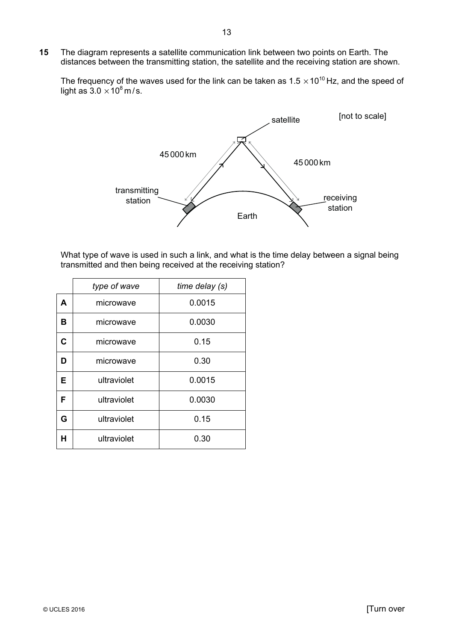**15** The diagram represents a satellite communication link between two points on Earth. The distances between the transmitting station, the satellite and the receiving station are shown.

The frequency of the waves used for the link can be taken as  $1.5 \times 10^{10}$  Hz, and the speed of light as  $3.0 \times 10^8$  m/s.



What type of wave is used in such a link, and what is the time delay between a signal being transmitted and then being received at the receiving station?

| type of wave |             | time delay (s) |
|--------------|-------------|----------------|
| A            | microwave   | 0.0015         |
| в            | microwave   | 0.0030         |
| C            | microwave   | 0.15           |
| D            | microwave   | 0.30           |
| Е            | ultraviolet | 0.0015         |
| F            | ultraviolet | 0.0030         |
| G            | ultraviolet | 0.15           |
| н            | ultraviolet | 0.30           |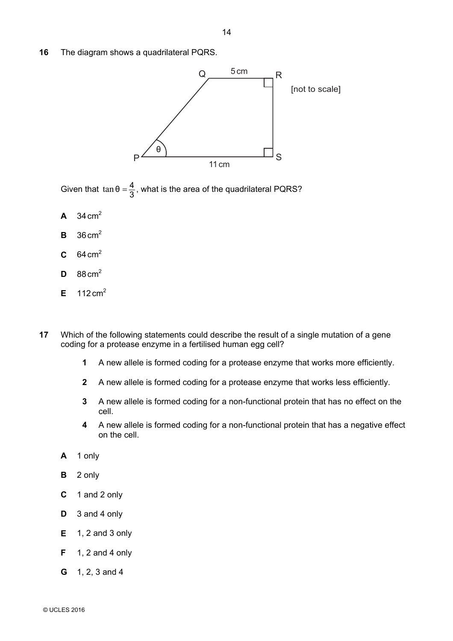**16** The diagram shows a quadrilateral PQRS.



Given that  $\tan \theta = \frac{4}{3}$ , what is the area of the quadrilateral PQRS?

- **A**  $34 \text{ cm}^2$
- $\mathbf{B}$  36 cm<sup>2</sup>
- **C**  $64 \text{ cm}^2$
- **D**  $88 \text{ cm}^2$
- **E**  $112 \text{ cm}^2$
- **17** Which of the following statements could describe the result of a single mutation of a gene coding for a protease enzyme in a fertilised human egg cell?
	- **1** A new allele is formed coding for a protease enzyme that works more efficiently.
	- **2** A new allele is formed coding for a protease enzyme that works less efficiently.
	- **3** A new allele is formed coding for a non-functional protein that has no effect on the cell.
	- **4** A new allele is formed coding for a non-functional protein that has a negative effect on the cell.
	- **A** 1 only
	- **B** 2 only
	- **C** 1 and 2 only
	- **D** 3 and 4 only
	- **E** 1, 2 and 3 only
	- **F** 1, 2 and 4 only
	- **G** 1, 2, 3 and 4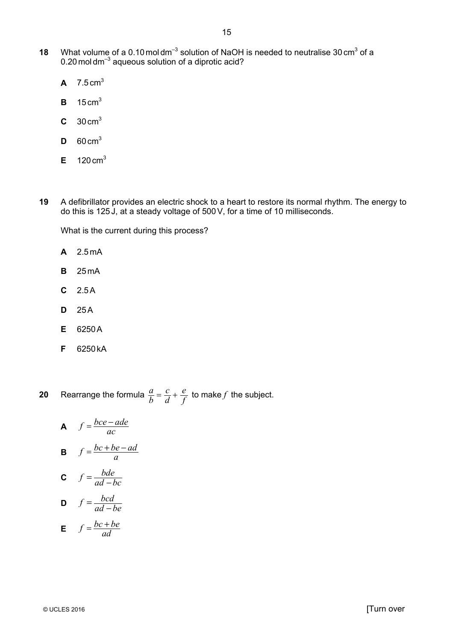- **18** What volume of a 0.10 moldm<sup>-3</sup> solution of NaOH is needed to neutralise 30 cm<sup>3</sup> of a 0.20 mol dm<sup>-3</sup> aqueous solution of a diprotic acid?
	- **A**  $7.5 \text{ cm}^3$
	- **B** 15 cm3
	- **C** 30 cm3
	- $D = 60 \text{ cm}^3$
	- $E = 120 \text{ cm}^3$
- **19** A defibrillator provides an electric shock to a heart to restore its normal rhythm. The energy to do this is 125 J, at a steady voltage of 500V, for a time of 10 milliseconds.

What is the current during this process?

- **A** 2.5 mA
- **B** 25 mA
- **C** 2.5A
- **D** 25A
- **E** 6250A
- **F** 6250 kA

**20** Rearrange the formula  $\frac{a}{b} = \frac{c}{d} + \frac{c}{c}$  $\frac{e}{f}$  to make *f* the subject.

**A** 
$$
f = \frac{bce - ade}{ac}
$$
  
\n**B**  $f = \frac{bc + be - ad}{a}$   
\n**C**  $f = \frac{bde}{ad - bc}$   
\n**D**  $f = \frac{bcd}{ad - be}$ 

**E**  $f = \frac{bc + be}{ad}$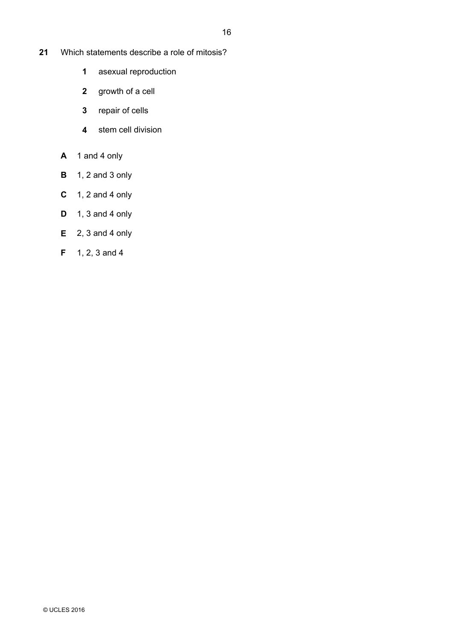- **21** Which statements describe a role of mitosis?
	- **1** asexual reproduction
	- **2** growth of a cell
	- **3** repair of cells
	- **4** stem cell division
	- **A** 1 and 4 only
	- **B** 1, 2 and 3 only
	- **C** 1, 2 and 4 only
	- **D** 1, 3 and 4 only
	- **E** 2, 3 and 4 only
	- **F** 1, 2, 3 and 4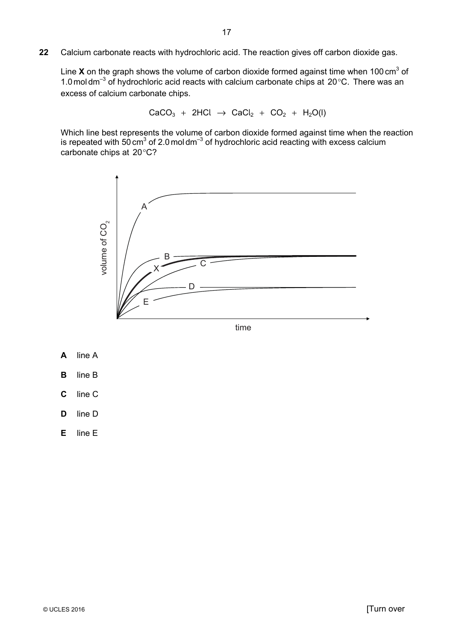**22** Calcium carbonate reacts with hydrochloric acid. The reaction gives off carbon dioxide gas.

Line **X** on the graph shows the volume of carbon dioxide formed against time when 100 cm<sup>3</sup> of 1.0 mol dm<sup>-3</sup> of hydrochloric acid reacts with calcium carbonate chips at  $20^{\circ}$ C. There was an excess of calcium carbonate chips.

 $CaCO<sub>3</sub> + 2HCl \rightarrow CaCl<sub>2</sub> + CO<sub>2</sub> + H<sub>2</sub>O(l)$ 

Which line best represents the volume of carbon dioxide formed against time when the reaction is repeated with 50 cm<sup>3</sup> of 2.0 mol dm<sup>-3</sup> of hydrochloric acid reacting with excess calcium carbonate chips at 20°C?



time

- **A** line A
- **B** line B
- **C** line C
- **D** line D
- **E** line E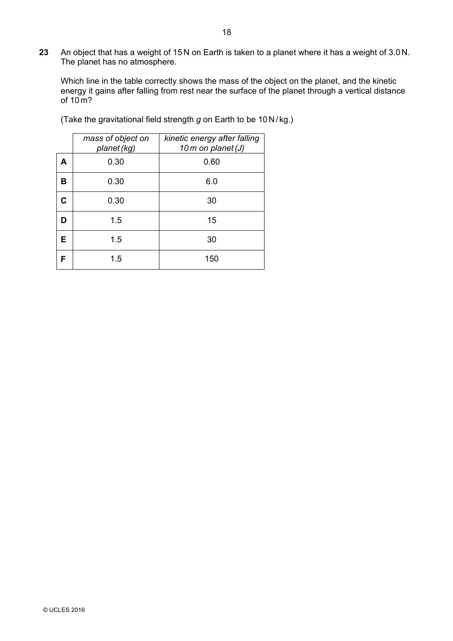**23** An object that has a weight of 15N on Earth is taken to a planet where it has a weight of 3.0 N. The planet has no atmosphere.

Which line in the table correctly shows the mass of the object on the planet, and the kinetic energy it gains after falling from rest near the surface of the planet through a vertical distance of  $10<sub>m</sub>$ ?

|   | mass of object on<br>planet (kg) | kinetic energy after falling<br>10m on planet (J) |
|---|----------------------------------|---------------------------------------------------|
| A | 0.30                             | 0.60                                              |
| в | 0.30                             | 6.0                                               |
| C | 0.30                             | 30                                                |
| D | 1.5                              | 15                                                |
| Е | 1.5                              | 30                                                |
| F | 1.5                              | 150                                               |

(Take the gravitational field strength *g* on Earth to be 10N/ kg.)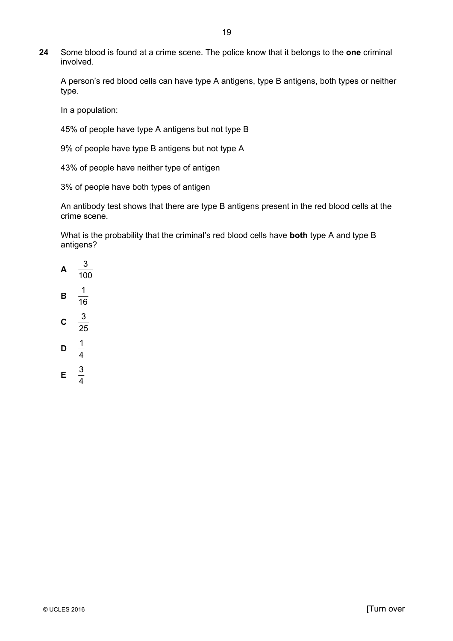**24** Some blood is found at a crime scene. The police know that it belongs to the **one** criminal involved.

A person's red blood cells can have type A antigens, type B antigens, both types or neither type.

In a population:

45% of people have type A antigens but not type B

9% of people have type B antigens but not type A

43% of people have neither type of antigen

3% of people have both types of antigen

An antibody test shows that there are type B antigens present in the red blood cells at the crime scene.

What is the probability that the criminal's red blood cells have **both** type A and type B antigens?

4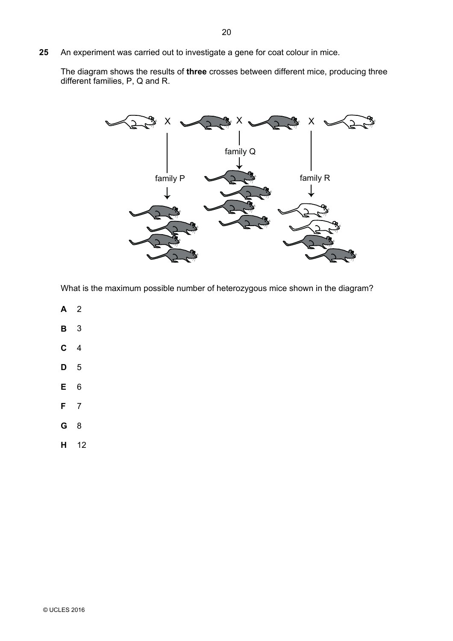**25** An experiment was carried out to investigate a gene for coat colour in mice.

The diagram shows the results of **three** crosses between different mice, producing three different families, P, Q and R.



What is the maximum possible number of heterozygous mice shown in the diagram?

- **A** 2
- **B** 3
- **C** 4
- **D** 5
- **E** 6
- **F** 7
- **G** 8
- **H** 12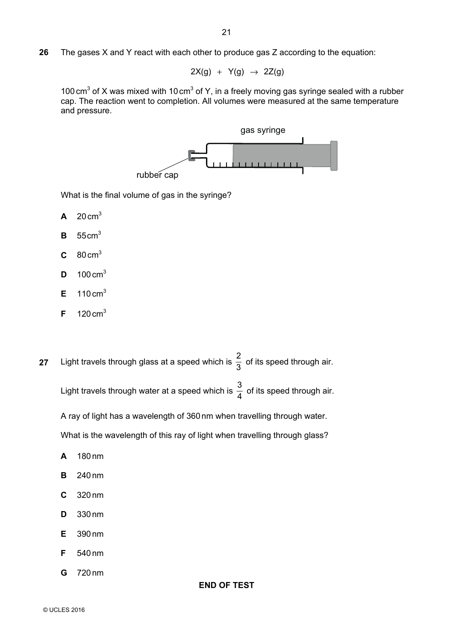**26** The gases X and Y react with each other to produce gas Z according to the equation:

 $2X(g) + Y(g) \rightarrow 2Z(g)$ 

100 cm<sup>3</sup> of X was mixed with 10 cm<sup>3</sup> of Y, in a freely moving gas syringe sealed with a rubber cap. The reaction went to completion. All volumes were measured at the same temperature and pressure.



What is the final volume of gas in the syringe?

- $A$  20 cm<sup>3</sup>
- **B** 55cm3
- **C** 80 cm3
- **D** 100 cm3
- $E = 110 \text{ cm}^3$
- $F = 120 \text{ cm}^3$
- **27** Light travels through glass at a speed which is  $\frac{2}{3}$  of its speed through air.

Light travels through water at a speed which is  $\frac{3}{4}$  of its speed through air.

A ray of light has a wavelength of 360 nm when travelling through water.

What is the wavelength of this ray of light when travelling through glass?

**END OF TEST** 

- **A** 180 nm
- **B** 240 nm
- **C** 320 nm
- **D** 330 nm
- **E** 390 nm
- **F** 540 nm
- **G** 720 nm